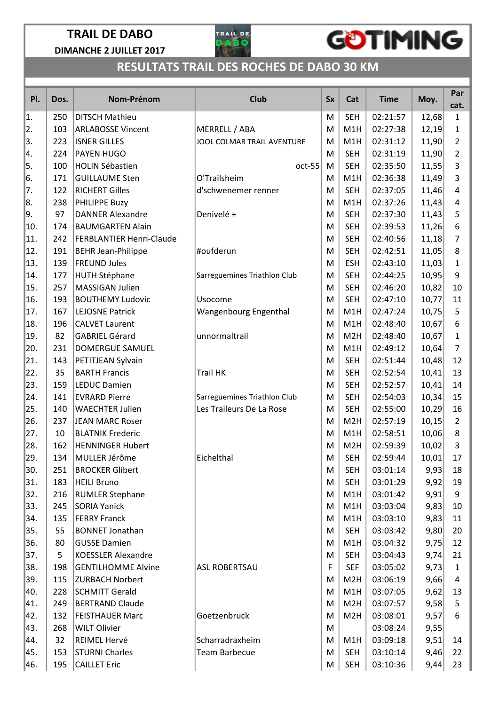

## GOTIMING

| PI.  | Dos. | Nom-Prénom                      | <b>Club</b>                  | <b>Sx</b> | Cat              | <b>Time</b> | Moy.  | Par<br>cat.    |
|------|------|---------------------------------|------------------------------|-----------|------------------|-------------|-------|----------------|
| 1.   | 250  | <b>DITSCH Mathieu</b>           |                              | M         | <b>SEH</b>       | 02:21:57    | 12,68 | $\mathbf{1}$   |
| 12.  | 103  | <b>ARLABOSSE Vincent</b>        | MERRELL / ABA                | M         | M1H              | 02:27:38    | 12,19 | $\mathbf{1}$   |
| 3.   | 223  | <b>ISNER GILLES</b>             | JOOL COLMAR TRAIL AVENTURE   | M         | M1H              | 02:31:12    | 11,90 | $\overline{2}$ |
| ∥4.  | 224  | <b>PAYEN HUGO</b>               |                              | M         | <b>SEH</b>       | 02:31:19    | 11,90 | $\overline{2}$ |
| 5.   | 100  | <b>HOLIN Sébastien</b>          | oct-55                       | M         | <b>SEH</b>       | 02:35:50    | 11,55 | 3              |
| 16.  | 171  | <b>GUILLAUME Sten</b>           | O'Trailsheim                 | M         | M1H              | 02:36:38    | 11,49 | 3              |
| 17.  | 122  | <b>RICHERT Gilles</b>           | d'schwenemer renner          | M         | <b>SEH</b>       | 02:37:05    | 11,46 | 4              |
| ∥8.  | 238  | PHILIPPE Buzy                   |                              | M         | M1H              | 02:37:26    | 11,43 | 4              |
| 9.   | 97   | <b>DANNER Alexandre</b>         | Denivelé +                   | M         | <b>SEH</b>       | 02:37:30    | 11,43 | 5              |
| 10.  | 174  | <b>BAUMGARTEN Alain</b>         |                              | M         | <b>SEH</b>       | 02:39:53    | 11,26 | 6              |
| 11.  | 242  | <b>FERBLANTIER Henri-Claude</b> |                              | M         | <b>SEH</b>       | 02:40:56    | 11,18 | 7              |
| 12.  | 191  | <b>BEHR Jean-Philippe</b>       | #oufderun                    | M         | <b>SEH</b>       | 02:42:51    | 11,05 | 8              |
| 13.  | 139  | <b>FREUND Jules</b>             |                              | M         | <b>ESH</b>       | 02:43:10    | 11,03 | 1              |
| 14.  | 177  | <b>HUTH Stéphane</b>            | Sarreguemines Triathlon Club | M         | <b>SEH</b>       | 02:44:25    | 10,95 | 9              |
| 15.  | 257  | MASSIGAN Julien                 |                              | M         | <b>SEH</b>       | 02:46:20    | 10,82 | 10             |
| 16.  | 193  | <b>BOUTHEMY Ludovic</b>         | Usocome                      | M         | <b>SEH</b>       | 02:47:10    | 10,77 | 11             |
| 17.  | 167  | <b>LEJOSNE Patrick</b>          | Wangenbourg Engenthal        | M         | M1H              | 02:47:24    | 10,75 | 5              |
| 18.  | 196  | <b>CALVET Laurent</b>           |                              | M         | M1H              | 02:48:40    | 10,67 | 6              |
| 19.  | 82   | <b>GABRIEL Gérard</b>           | unnormaltrail                | M         | M <sub>2</sub> H | 02:48:40    | 10,67 | $\mathbf{1}$   |
| 20.  | 231  | <b>DOMERGUE SAMUEL</b>          |                              | M         | M1H              | 02:49:12    | 10,64 | $\overline{7}$ |
| 21.  | 143  | PETITJEAN Sylvain               |                              | M         | <b>SEH</b>       | 02:51:44    | 10,48 | 12             |
| 22.  | 35   | <b>BARTH Francis</b>            | <b>Trail HK</b>              | M         | <b>SEH</b>       | 02:52:54    | 10,41 | 13             |
| 23.  | 159  | <b>LEDUC Damien</b>             |                              | M         | <b>SEH</b>       | 02:52:57    | 10,41 | 14             |
| 24.  | 141  | <b>EVRARD Pierre</b>            | Sarreguemines Triathlon Club | M         | <b>SEH</b>       | 02:54:03    | 10,34 | 15             |
| 25.  | 140  | <b>WAECHTER Julien</b>          | Les Traileurs De La Rose     | M         | <b>SEH</b>       | 02:55:00    | 10,29 | 16             |
| 26.  | 237  | JEAN MARC Roser                 |                              | M         | M <sub>2</sub> H | 02:57:19    | 10,15 | $\overline{2}$ |
| 27.  | 10   | <b>BLATNIK Frederic</b>         |                              | M         | M1H              | 02:58:51    | 10,06 | 8              |
| 28.  | 162  | <b>HENNINGER Hubert</b>         |                              | M         | M <sub>2</sub> H | 02:59:39    | 10,02 | 3              |
| 29.  | 134  | MULLER Jérôme                   | Eichelthal                   | М         | <b>SEH</b>       | 02:59:44    | 10,01 | 17             |
| 30.  | 251  | <b>BROCKER Glibert</b>          |                              | M         | <b>SEH</b>       | 03:01:14    | 9,93  | 18             |
| 31.  | 183  | <b>HEILI Bruno</b>              |                              | M         | <b>SEH</b>       | 03:01:29    | 9,92  | 19             |
| 32.  | 216  | <b>RUMLER Stephane</b>          |                              | M         | M1H              | 03:01:42    | 9,91  | 9              |
| 33.  | 245  | <b>SORIA Yanick</b>             |                              | M         | M1H              | 03:03:04    | 9,83  | 10             |
| 34.  | 135  | <b>FERRY Franck</b>             |                              | M         | M1H              | 03:03:10    | 9,83  | 11             |
| 35.  | 55   | <b>BONNET Jonathan</b>          |                              | M         | <b>SEH</b>       | 03:03:42    | 9,80  | 20             |
| 36.  | 80   | <b>GUSSE Damien</b>             |                              | M         | M1H              | 03:04:32    | 9,75  | 12             |
| 37.  | 5    | <b>KOESSLER Alexandre</b>       |                              | M         | <b>SEH</b>       | 03:04:43    | 9,74  | 21             |
| 38.  | 198  | <b>GENTILHOMME Alvine</b>       | <b>ASL ROBERTSAU</b>         | F         | <b>SEF</b>       | 03:05:02    | 9,73  | $\mathbf{1}$   |
| 39.  | 115  | <b>ZURBACH Norbert</b>          |                              | м         | M <sub>2</sub> H | 03:06:19    | 9,66  | 4              |
| ∥40. | 228  | <b>SCHMITT Gerald</b>           |                              | M         | M1H              | 03:07:05    | 9,62  | 13             |
| 41.  | 249  | <b>BERTRAND Claude</b>          |                              | M         | M <sub>2</sub> H | 03:07:57    | 9,58  | 5              |
| 42.  | 132  | <b>FEISTHAUER Marc</b>          | Goetzenbruck                 | M         | M <sub>2</sub> H | 03:08:01    | 9,57  | 6              |
| 43.  | 268  | <b>WILT Olivier</b>             |                              | M         |                  | 03:08:24    | 9,55  |                |
| ∥44. | 32   | REIMEL Hervé                    | Scharradraxheim              | M         | M1H              | 03:09:18    | 9,51  | 14             |
| ∥45. | 153  | <b>STURNI Charles</b>           | <b>Team Barbecue</b>         | M         | <b>SEH</b>       | 03:10:14    | 9,46  | 22             |
| 46.  | 195  | <b>CAILLET Eric</b>             |                              | M         | <b>SEH</b>       | 03:10:36    | 9,44  | 23             |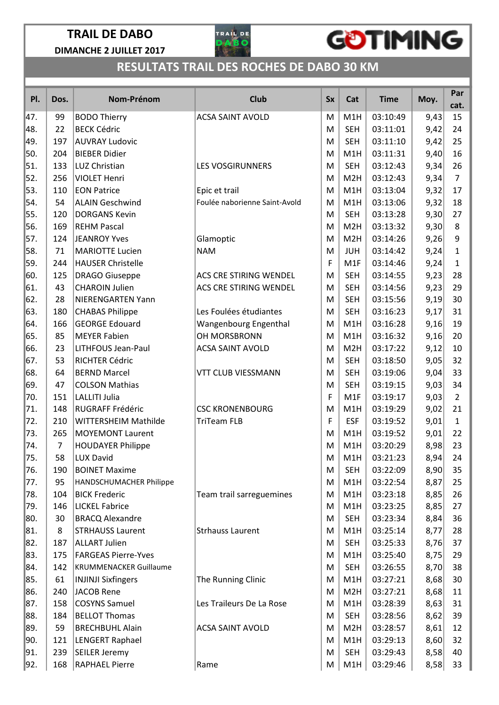

## GOTIMING

| PI.  | Dos. | Nom-Prénom                    | <b>Club</b>                   | <b>Sx</b> | Cat              | <b>Time</b> | Moy. | Par<br>cat.    |
|------|------|-------------------------------|-------------------------------|-----------|------------------|-------------|------|----------------|
| 47.  | 99   | <b>BODO Thierry</b>           | <b>ACSA SAINT AVOLD</b>       | M         | M1H              | 03:10:49    | 9,43 | 15             |
| ∥48. | 22   | <b>BECK Cédric</b>            |                               | M         | <b>SEH</b>       | 03:11:01    | 9,42 | 24             |
| 49.  | 197  | <b>AUVRAY Ludovic</b>         |                               | M         | <b>SEH</b>       | 03:11:10    | 9,42 | 25             |
| 50.  | 204  | <b>BIEBER Didier</b>          |                               | M         | M1H              | 03:11:31    | 9,40 | 16             |
| 51.  | 133  | LUZ Christian                 | <b>LES VOSGIRUNNERS</b>       | M         | <b>SEH</b>       | 03:12:43    | 9,34 | 26             |
| 52.  | 256  | <b>VIOLET Henri</b>           |                               | M         | M <sub>2</sub> H | 03:12:43    | 9,34 | $\overline{7}$ |
| 53.  | 110  | <b>EON Patrice</b>            | Epic et trail                 | M         | M1H              | 03:13:04    | 9,32 | 17             |
| 54.  | 54   | <b>ALAIN Geschwind</b>        | Foulée naborienne Saint-Avold | M         | M1H              | 03:13:06    | 9,32 | 18             |
| 55.  | 120  | <b>DORGANS Kevin</b>          |                               | M         | <b>SEH</b>       | 03:13:28    | 9,30 | 27             |
| 56.  | 169  | <b>REHM Pascal</b>            |                               | M         | M <sub>2</sub> H | 03:13:32    | 9,30 | 8              |
| 57.  | 124  | <b>JEANROY Yves</b>           | Glamoptic                     | M         | M <sub>2</sub> H | 03:14:26    | 9,26 | 9              |
| 58.  | 71   | <b>MARIOTTE Lucien</b>        | <b>NAM</b>                    | M         | <b>JUH</b>       | 03:14:42    | 9,24 | $\mathbf{1}$   |
| 59.  | 244  | <b>HAUSER Christelle</b>      |                               | F         | M1F              | 03:14:46    | 9,24 | $\mathbf{1}$   |
| 60.  | 125  | <b>DRAGO Giuseppe</b>         | <b>ACS CRE STIRING WENDEL</b> | M         | <b>SEH</b>       | 03:14:55    | 9,23 | 28             |
| 61.  | 43   | <b>CHAROIN Julien</b>         | ACS CRE STIRING WENDEL        | M         | <b>SEH</b>       | 03:14:56    | 9,23 | 29             |
| 62.  | 28   | NIERENGARTEN Yann             |                               | M         | <b>SEH</b>       | 03:15:56    | 9,19 | 30             |
| 63.  | 180  | <b>CHABAS Philippe</b>        | Les Foulées étudiantes        | M         | <b>SEH</b>       | 03:16:23    | 9,17 | 31             |
| 64.  | 166  | <b>GEORGE Edouard</b>         | Wangenbourg Engenthal         | M         | M1H              | 03:16:28    | 9,16 | 19             |
| 65.  | 85   | <b>MEYER Fabien</b>           | OH MORSBRONN                  | M         | M1H              | 03:16:32    | 9,16 | 20             |
| 66.  | 23   | <b>LITHFOUS Jean-Paul</b>     | <b>ACSA SAINT AVOLD</b>       | M         | M <sub>2</sub> H | 03:17:22    | 9,12 | $10\,$         |
| 67.  | 53   | RICHTER Cédric                |                               | M         | <b>SEH</b>       | 03:18:50    | 9,05 | 32             |
| 68.  | 64   | <b>BERND Marcel</b>           | <b>VTT CLUB VIESSMANN</b>     | M         | <b>SEH</b>       | 03:19:06    | 9,04 | 33             |
| 69.  | 47   | <b>COLSON Mathias</b>         |                               | M         | <b>SEH</b>       | 03:19:15    | 9,03 | 34             |
| 70.  | 151  | <b>LALLITI Julia</b>          |                               | F         | M1F              | 03:19:17    | 9,03 | $\overline{2}$ |
| 71.  | 148  | RUGRAFF Frédéric              | <b>CSC KRONENBOURG</b>        | M         | M1H              | 03:19:29    | 9,02 | 21             |
| 72.  | 210  | WITTERSHEIM Mathilde          | <b>TriTeam FLB</b>            | F         | <b>ESF</b>       | 03:19:52    | 9,01 | $\mathbf{1}$   |
| 73.  | 265  | <b>MOYEMONT Laurent</b>       |                               | M         | M1H              | 03:19:52    | 9,01 | 22             |
| 74.  | 7    | <b>HOUDAYER Philippe</b>      |                               | M         | M1H              | 03:20:29    | 8,98 | 23             |
| 75.  | 58   | <b>LUX David</b>              |                               | M         | M1H              | 03:21:23    | 8,94 | 24             |
| 76.  | 190  | <b>BOINET Maxime</b>          |                               | M         | <b>SEH</b>       | 03:22:09    | 8,90 | 35             |
| 77.  | 95   | HANDSCHUMACHER Philippe       |                               | M         | M1H              | 03:22:54    | 8,87 | 25             |
| 78.  | 104  | <b>BICK Frederic</b>          | Team trail sarreguemines      | М         | M1H              | 03:23:18    | 8,85 | 26             |
| 79.  | 146  | <b>LICKEL Fabrice</b>         |                               | М         | M1H              | 03:23:25    | 8,85 | 27             |
| 80.  | 30   | <b>BRACQ Alexandre</b>        |                               | M         | <b>SEH</b>       | 03:23:34    | 8,84 | 36             |
| 81.  | 8    | <b>STRHAUSS Laurent</b>       | <b>Strhauss Laurent</b>       | М         | M1H              | 03:25:14    | 8,77 | 28             |
| 82.  | 187  | <b>ALLART Julien</b>          |                               | M         | <b>SEH</b>       | 03:25:33    | 8,76 | 37             |
| 83.  | 175  | <b>FARGEAS Pierre-Yves</b>    |                               | М         | M1H              | 03:25:40    | 8,75 | 29             |
| 84.  | 142  | <b>KRUMMENACKER Guillaume</b> |                               | M         | <b>SEH</b>       | 03:26:55    | 8,70 | 38             |
| 85.  | 61   | <b>INJINJI Sixfingers</b>     | The Running Clinic            | M         | M1H              | 03:27:21    | 8,68 | 30             |
| 86.  | 240  | <b>JACOB Rene</b>             |                               | М         | M <sub>2</sub> H | 03:27:21    | 8,68 | 11             |
| ∦87. | 158  | <b>COSYNS Samuel</b>          | Les Traileurs De La Rose      | М         | M1H              | 03:28:39    | 8,63 | 31             |
| 88.  | 184  | <b>BELLOT Thomas</b>          |                               | М         | <b>SEH</b>       | 03:28:56    | 8,62 | 39             |
| 89.  | 59   | <b>BRECHBUHL Alain</b>        | <b>ACSA SAINT AVOLD</b>       | M         | M <sub>2</sub> H | 03:28:57    | 8,61 | 12             |
| 90.  | 121  | <b>LENGERT Raphael</b>        |                               | М         | M1H              | 03:29:13    | 8,60 | 32             |
| 91.  | 239  | <b>SEILER Jeremy</b>          |                               | М         | <b>SEH</b>       | 03:29:43    | 8,58 | 40             |
| ן92. | 168  | <b>RAPHAEL Pierre</b>         | Rame                          | М         | M1H              | 03:29:46    | 8,58 | 33             |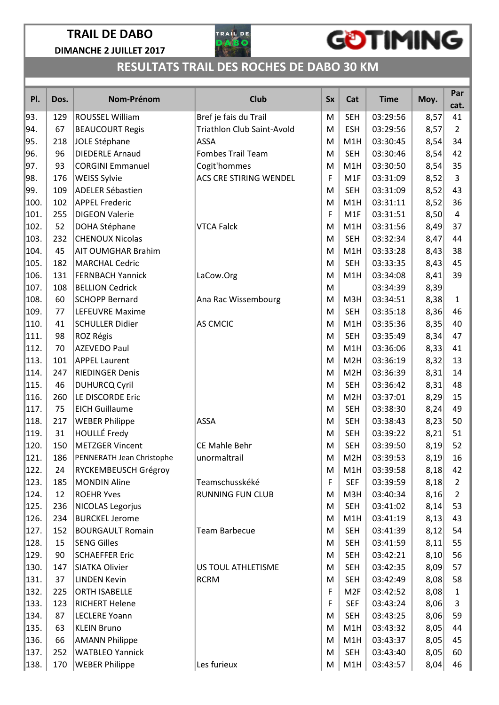

## GOTIMING

| PI.  | Dos. | Nom-Prénom                | <b>Club</b>                       | <b>Sx</b> | Cat              | <b>Time</b> | Moy. | Par<br>cat.    |
|------|------|---------------------------|-----------------------------------|-----------|------------------|-------------|------|----------------|
| 93.  | 129  | <b>ROUSSEL William</b>    | Bref je fais du Trail             | M         | <b>SEH</b>       | 03:29:56    | 8,57 | 41             |
| 94.  | 67   | <b>BEAUCOURT Regis</b>    | <b>Triathlon Club Saint-Avold</b> | M         | <b>ESH</b>       | 03:29:56    | 8,57 | $\overline{2}$ |
| 95.  | 218  | JOLE Stéphane             | <b>ASSA</b>                       | M         | M1H              | 03:30:45    | 8,54 | 34             |
| 96.  | 96   | <b>DIEDERLE Arnaud</b>    | <b>Fombes Trail Team</b>          | M         | <b>SEH</b>       | 03:30:46    | 8,54 | 42             |
| 97.  | 93   | <b>CORGINI Emmanuel</b>   | Cogit'hommes                      | M         | M1H              | 03:30:50    | 8,54 | 35             |
| 98.  | 176  | <b>WEISS Sylvie</b>       | ACS CRE STIRING WENDEL            | F         | M1F              | 03:31:09    | 8,52 | 3              |
| 99.  | 109  | <b>ADELER Sébastien</b>   |                                   | M         | <b>SEH</b>       | 03:31:09    | 8,52 | 43             |
| 100. | 102  | <b>APPEL Frederic</b>     |                                   | M         | M1H              | 03:31:11    | 8,52 | 36             |
| 101. | 255  | <b>DIGEON Valerie</b>     |                                   | F         | M1F              | 03:31:51    | 8,50 | 4              |
| 102. | 52   | DOHA Stéphane             | <b>VTCA Falck</b>                 | M         | M1H              | 03:31:56    | 8,49 | 37             |
| 103. | 232  | <b>CHENOUX Nicolas</b>    |                                   | M         | <b>SEH</b>       | 03:32:34    | 8,47 | 44             |
| 104. | 45   | <b>AIT OUMGHAR Brahim</b> |                                   | M         | M1H              | 03:33:28    | 8,43 | 38             |
| 105. | 182  | <b>MARCHAL Cedric</b>     |                                   | M         | <b>SEH</b>       | 03:33:35    | 8,43 | 45             |
| 106. | 131  | <b>FERNBACH Yannick</b>   | LaCow.Org                         | M         | M1H              | 03:34:08    | 8,41 | 39             |
| 107. | 108  | <b>BELLION Cedrick</b>    |                                   | M         |                  | 03:34:39    | 8,39 |                |
| 108. | 60   | <b>SCHOPP Bernard</b>     | Ana Rac Wissembourg               | M         | M3H              | 03:34:51    | 8,38 | $\mathbf{1}$   |
| 109. | 77   | <b>LEFEUVRE Maxime</b>    |                                   | M         | <b>SEH</b>       | 03:35:18    | 8,36 | 46             |
| 110. | 41   | <b>SCHULLER Didier</b>    | <b>AS CMCIC</b>                   | M         | M1H              | 03:35:36    | 8,35 | 40             |
| 111. | 98   | <b>ROZ Régis</b>          |                                   | M         | <b>SEH</b>       | 03:35:49    | 8,34 | 47             |
| 112. | 70   | <b>AZEVEDO Paul</b>       |                                   | M         | M1H              | 03:36:06    | 8,33 | 41             |
| 113. | 101  | <b>APPEL Laurent</b>      |                                   | M         | M <sub>2</sub> H | 03:36:19    | 8,32 | 13             |
| 114. | 247  | <b>RIEDINGER Denis</b>    |                                   | м         | M <sub>2</sub> H | 03:36:39    | 8,31 | 14             |
| 115. | 46   | <b>DUHURCQ Cyril</b>      |                                   | M         | <b>SEH</b>       | 03:36:42    | 8,31 | 48             |
| 116. | 260  | LE DISCORDE Eric          |                                   | M         | M <sub>2</sub> H | 03:37:01    | 8,29 | 15             |
| 117. | 75   | <b>EICH Guillaume</b>     |                                   | M         | <b>SEH</b>       | 03:38:30    | 8,24 | 49             |
| 118. | 217  | <b>WEBER Philippe</b>     | <b>ASSA</b>                       | M         | <b>SEH</b>       | 03:38:43    | 8,23 | 50             |
| 119. | 31   | <b>HOULLÉ Fredy</b>       |                                   | M         | <b>SEH</b>       | 03:39:22    | 8,21 | 51             |
| 120. | 150  | <b>METZGER Vincent</b>    | CE Mahle Behr                     | M         | <b>SEH</b>       | 03:39:50    | 8,19 | 52             |
| 121. | 186  | PENNERATH Jean Christophe | unormaltrail                      | M         | M <sub>2</sub> H | 03:39:53    | 8,19 | 16             |
| 122. | 24   | RYCKEMBEUSCH Grégroy      |                                   | M         | M1H              | 03:39:58    | 8,18 | 42             |
| 123. | 185  | <b>MONDIN Aline</b>       | Teamschusskéké                    | F         | <b>SEF</b>       | 03:39:59    | 8,18 | $\overline{2}$ |
| 124. | 12   | <b>ROEHR Yves</b>         | <b>RUNNING FUN CLUB</b>           | M         | M3H              | 03:40:34    | 8,16 | $\overline{2}$ |
| 125. | 236  | <b>NICOLAS Legorjus</b>   |                                   | M         | <b>SEH</b>       | 03:41:02    | 8,14 | 53             |
| 126. | 234  | <b>BURCKEL Jerome</b>     |                                   | M         | M1H              | 03:41:19    | 8,13 | 43             |
| 127. | 152  | <b>BOURGAULT Romain</b>   | <b>Team Barbecue</b>              | M         | <b>SEH</b>       | 03:41:39    | 8,12 | 54             |
| 128. | 15   | <b>SENG Gilles</b>        |                                   | M         | <b>SEH</b>       | 03:41:59    | 8,11 | 55             |
| 129. | 90   | <b>SCHAEFFER Eric</b>     |                                   | M         | <b>SEH</b>       | 03:42:21    | 8,10 | 56             |
| 130. | 147  | <b>SIATKA Olivier</b>     | US TOUL ATHLETISME                | M         | <b>SEH</b>       | 03:42:35    | 8,09 | 57             |
| 131. | 37   | <b>LINDEN Kevin</b>       | <b>RCRM</b>                       | M         | <b>SEH</b>       | 03:42:49    | 8,08 | 58             |
| 132. | 225  | <b>ORTH ISABELLE</b>      |                                   | F         | M <sub>2F</sub>  | 03:42:52    | 8,08 | $\mathbf{1}$   |
| 133. | 123  | <b>RICHERT Helene</b>     |                                   | F         | <b>SEF</b>       | 03:43:24    | 8,06 | 3              |
| 134. | 87   | <b>LECLERE Yoann</b>      |                                   | M         | <b>SEH</b>       | 03:43:25    | 8,06 | 59             |
| 135. | 63   | <b>KLEIN Bruno</b>        |                                   | M         | M1H              | 03:43:32    | 8,05 | 44             |
| 136. | 66   | <b>AMANN Philippe</b>     |                                   | M         | M1H              | 03:43:37    | 8,05 | 45             |
| 137. | 252  | <b>WATBLEO Yannick</b>    |                                   | M         | <b>SEH</b>       | 03:43:40    | 8,05 | 60             |
| 138. | 170  | <b>WEBER Philippe</b>     | Les furieux                       | M         | M1H              | 03:43:57    | 8,04 | 46             |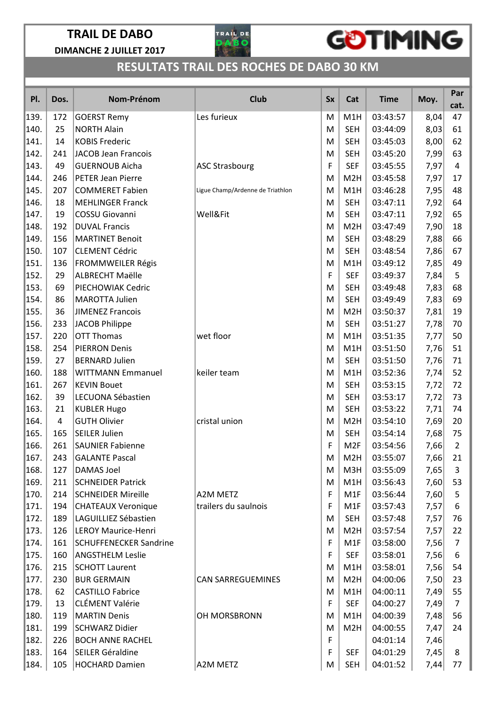

## GOTIMING

| PI.  | Dos.           | Nom-Prénom                    | <b>Club</b>                      | <b>Sx</b> | Cat              | <b>Time</b> | Moy. | Par<br>cat.    |
|------|----------------|-------------------------------|----------------------------------|-----------|------------------|-------------|------|----------------|
| 139. | 172            | <b>GOERST Remy</b>            | Les furieux                      | M         | M1H              | 03:43:57    | 8,04 | 47             |
| 140. | 25             | <b>NORTH Alain</b>            |                                  | M         | <b>SEH</b>       | 03:44:09    | 8,03 | 61             |
| 141. | 14             | <b>KOBIS Frederic</b>         |                                  | M         | <b>SEH</b>       | 03:45:03    | 8,00 | 62             |
| 142. | 241            | <b>JACOB Jean Francois</b>    |                                  | M         | <b>SEH</b>       | 03:45:20    | 7,99 | 63             |
| 143. | 49             | <b>GUERNOUB Aicha</b>         | <b>ASC Strasbourg</b>            | F         | <b>SEF</b>       | 03:45:55    | 7,97 | 4              |
| 144. | 246            | <b>PETER Jean Pierre</b>      |                                  | M         | M <sub>2</sub> H | 03:45:58    | 7,97 | 17             |
| 145. | 207            | <b>COMMERET Fabien</b>        | Ligue Champ/Ardenne de Triathlon | M         | M1H              | 03:46:28    | 7,95 | 48             |
| 146. | 18             | <b>MEHLINGER Franck</b>       |                                  | M         | <b>SEH</b>       | 03:47:11    | 7,92 | 64             |
| 147. | 19             | <b>COSSU Giovanni</b>         | Well&Fit                         | M         | <b>SEH</b>       | 03:47:11    | 7,92 | 65             |
| 148. | 192            | <b>DUVAL Francis</b>          |                                  | M         | M <sub>2</sub> H | 03:47:49    | 7,90 | 18             |
| 149. | 156            | <b>MARTINET Benoit</b>        |                                  | M         | <b>SEH</b>       | 03:48:29    | 7,88 | 66             |
| 150. | 107            | <b>CLEMENT Cédric</b>         |                                  | M         | <b>SEH</b>       | 03:48:54    | 7,86 | 67             |
| 151. | 136            | FROMMWEILER Régis             |                                  | M         | M1H              | 03:49:12    | 7,85 | 49             |
| 152. | 29             | <b>ALBRECHT Maëlle</b>        |                                  | F         | <b>SEF</b>       | 03:49:37    | 7,84 | 5              |
| 153. | 69             | PIECHOWIAK Cedric             |                                  | M         | <b>SEH</b>       | 03:49:48    | 7,83 | 68             |
| 154. | 86             | <b>MAROTTA Julien</b>         |                                  | M         | <b>SEH</b>       | 03:49:49    | 7,83 | 69             |
| 155. | 36             | <b>JIMENEZ Francois</b>       |                                  | M         | M <sub>2</sub> H | 03:50:37    | 7,81 | 19             |
| 156. | 233            | <b>JACOB Philippe</b>         |                                  | M         | <b>SEH</b>       | 03:51:27    | 7,78 | 70             |
| 157. | 220            | <b>OTT Thomas</b>             | wet floor                        | M         | M1H              | 03:51:35    | 7,77 | 50             |
| 158. | 254            | <b>PIERRON Denis</b>          |                                  | M         | M1H              | 03:51:50    | 7,76 | 51             |
| 159. | 27             | <b>BERNARD Julien</b>         |                                  | M         | <b>SEH</b>       | 03:51:50    | 7,76 | 71             |
| 160. | 188            | <b>WITTMANN Emmanuel</b>      | keiler team                      | M         | M1H              | 03:52:36    | 7,74 | 52             |
| 161. | 267            | <b>KEVIN Bouet</b>            |                                  | M         | <b>SEH</b>       | 03:53:15    | 7,72 | 72             |
| 162. | 39             | LECUONA Sébastien             |                                  | M         | <b>SEH</b>       | 03:53:17    | 7,72 | 73             |
| 163. | 21             | <b>KUBLER Hugo</b>            |                                  | M         | <b>SEH</b>       | 03:53:22    | 7,71 | 74             |
| 164. | $\overline{4}$ | <b>GUTH Olivier</b>           | cristal union                    | M         | M <sub>2</sub> H | 03:54:10    | 7,69 | 20             |
| 165. | 165            | <b>SEILER Julien</b>          |                                  | M         | <b>SEH</b>       | 03:54:14    | 7,68 | 75             |
| 166. | 261            | <b>SAUNIER Fabienne</b>       |                                  | F         | M <sub>2F</sub>  | 03:54:56    | 7,66 | $\overline{2}$ |
| 167. | 243            | <b>GALANTE Pascal</b>         |                                  | M         | M <sub>2</sub> H | 03:55:07    | 7,66 | 21             |
| 168. | 127            | DAMAS Joel                    |                                  | M         | M3H              | 03:55:09    | 7,65 | 3              |
| 169. | 211            | <b>SCHNEIDER Patrick</b>      |                                  | М         | M1H              | 03:56:43    | 7,60 | 53             |
| 170. | 214            | <b>SCHNEIDER Mireille</b>     | A2M METZ                         | F         | M1F              | 03:56:44    | 7,60 | 5              |
| 171. | 194            | <b>CHATEAUX Veronique</b>     | trailers du saulnois             | F         | M <sub>1</sub> F | 03:57:43    | 7,57 | 6              |
| 172. | 189            | LAGUILLIEZ Sébastien          |                                  | М         | <b>SEH</b>       | 03:57:48    | 7,57 | 76             |
| 173. | 126            | <b>LEROY Maurice-Henri</b>    |                                  | M         | M <sub>2</sub> H | 03:57:54    | 7,57 | 22             |
| 174. | 161            | <b>SCHUFFENECKER Sandrine</b> |                                  | F         | M <sub>1</sub> F | 03:58:00    | 7,56 | 7              |
| 175. | 160            | <b>ANGSTHELM Leslie</b>       |                                  | F         | <b>SEF</b>       | 03:58:01    | 7,56 | 6              |
| 176. | 215            | <b>SCHOTT Laurent</b>         |                                  | М         | M1H              | 03:58:01    | 7,56 | 54             |
| 177. | 230            | <b>BUR GERMAIN</b>            | <b>CAN SARREGUEMINES</b>         | М         | M <sub>2</sub> H | 04:00:06    | 7,50 | 23             |
| 178. | 62             | <b>CASTILLO Fabrice</b>       |                                  | М         | M1H              | 04:00:11    | 7,49 | 55             |
| 179. | 13             | <b>CLÉMENT Valérie</b>        |                                  | F         | <b>SEF</b>       | 04:00:27    | 7,49 | $\overline{7}$ |
| 180. | 119            | <b>MARTIN Denis</b>           | OH MORSBRONN                     | м         | M1H              | 04:00:39    | 7,48 | 56             |
| 181. | 199            | <b>SCHWARZ Didier</b>         |                                  | М         | M <sub>2</sub> H | 04:00:55    | 7,47 | 24             |
| 182. | 226            | <b>BOCH ANNE RACHEL</b>       |                                  | F         |                  | 04:01:14    | 7,46 |                |
| 183. | 164            | SEILER Géraldine              |                                  | F         | <b>SEF</b>       | 04:01:29    | 7,45 | 8              |
| 184. | 105            | <b>HOCHARD Damien</b>         | A2M METZ                         | M         | <b>SEH</b>       | 04:01:52    | 7,44 | 77             |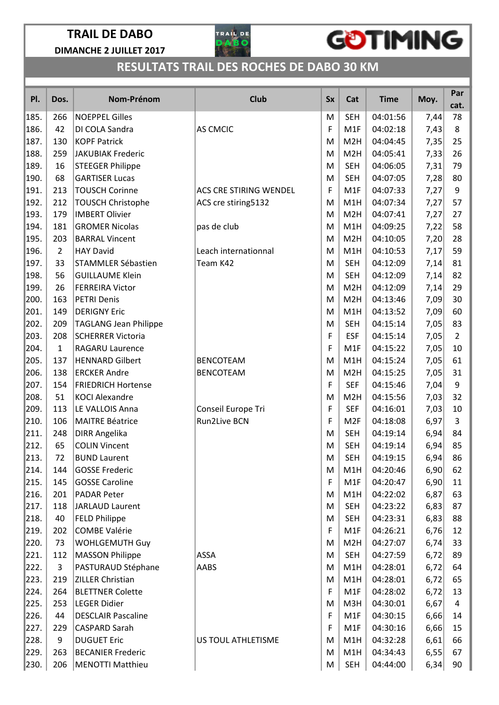

## GOTIMING

|      |                |                              |                        |           |                  |             |      | Par            |
|------|----------------|------------------------------|------------------------|-----------|------------------|-------------|------|----------------|
| PI.  | Dos.           | Nom-Prénom                   | Club                   | <b>Sx</b> | Cat              | <b>Time</b> | Moy. | cat.           |
| 185. | 266            | <b>NOEPPEL Gilles</b>        |                        | M         | <b>SEH</b>       | 04:01:56    | 7,44 | 78             |
| 186. | 42             | DI COLA Sandra               | AS CMCIC               | F         | M1F              | 04:02:18    | 7,43 | 8              |
| 187. | 130            | <b>KOPF Patrick</b>          |                        | M         | M <sub>2</sub> H | 04:04:45    | 7,35 | 25             |
| 188. | 259            | <b>JAKUBIAK Frederic</b>     |                        | M         | M <sub>2</sub> H | 04:05:41    | 7,33 | 26             |
| 189. | 16             | <b>STEEGER Philippe</b>      |                        | M         | <b>SEH</b>       | 04:06:05    | 7,31 | 79             |
| 190. | 68             | <b>GARTISER Lucas</b>        |                        | M         | <b>SEH</b>       | 04:07:05    | 7,28 | 80             |
| 191. | 213            | <b>TOUSCH Corinne</b>        | ACS CRE STIRING WENDEL | F         | M1F              | 04:07:33    | 7,27 | 9              |
| 192. | 212            | <b>TOUSCH Christophe</b>     | ACS cre stiring5132    | M         | M1H              | 04:07:34    | 7,27 | 57             |
| 193. | 179            | <b>IMBERT Olivier</b>        |                        | M         | M <sub>2</sub> H | 04:07:41    | 7,27 | 27             |
| 194. | 181            | <b>GROMER Nicolas</b>        | pas de club            | M         | M1H              | 04:09:25    | 7,22 | 58             |
| 195. | 203            | <b>BARRAL Vincent</b>        |                        | M         | M <sub>2</sub> H | 04:10:05    | 7,20 | 28             |
| 196. | $\overline{2}$ | <b>HAY David</b>             | Leach internationnal   | M         | M1H              | 04:10:53    | 7,17 | 59             |
| 197. | 33             | <b>STAMMLER Sébastien</b>    | Team K42               | M         | <b>SEH</b>       | 04:12:09    | 7,14 | 81             |
| 198. | 56             | <b>GUILLAUME Klein</b>       |                        | M         | <b>SEH</b>       | 04:12:09    | 7,14 | 82             |
| 199. | 26             | <b>FERREIRA Victor</b>       |                        | M         | M <sub>2</sub> H | 04:12:09    | 7,14 | 29             |
| 200. | 163            | <b>PETRI Denis</b>           |                        | M         | M <sub>2</sub> H | 04:13:46    | 7,09 | 30             |
| 201. | 149            | <b>DERIGNY Eric</b>          |                        | M         | M1H              | 04:13:52    | 7,09 | 60             |
| 202. | 209            | <b>TAGLANG Jean Philippe</b> |                        | M         | <b>SEH</b>       | 04:15:14    | 7,05 | 83             |
| 203. | 208            | <b>SCHERRER Victoria</b>     |                        | F         | <b>ESF</b>       | 04:15:14    | 7,05 | $\overline{2}$ |
| 204. | $\mathbf{1}$   | RAGARU Laurence              |                        | F         | M1F              | 04:15:22    | 7,05 | 10             |
| 205. | 137            | <b>HENNARD Gilbert</b>       | <b>BENCOTEAM</b>       | M         | M1H              | 04:15:24    | 7,05 | 61             |
| 206. | 138            | <b>ERCKER Andre</b>          | <b>BENCOTEAM</b>       | M         | M <sub>2</sub> H | 04:15:25    | 7,05 | 31             |
| 207. | 154            | <b>FRIEDRICH Hortense</b>    |                        | F         | <b>SEF</b>       | 04:15:46    | 7,04 | 9              |
| 208. | 51             | <b>KOCI Alexandre</b>        |                        | M         | M <sub>2</sub> H | 04:15:56    | 7,03 | 32             |
| 209. | 113            | LE VALLOIS Anna              | Conseil Europe Tri     | F         | <b>SEF</b>       | 04:16:01    | 7,03 | 10             |
| 210. | 106            | <b>MAITRE Béatrice</b>       | <b>Run2Live BCN</b>    | F         | M <sub>2F</sub>  | 04:18:08    | 6,97 | 3              |
| 211. | 248            | <b>DIRR Angelika</b>         |                        | M         | <b>SEH</b>       | 04:19:14    | 6,94 | 84             |
| 212. | 65             | <b>COLIN Vincent</b>         |                        | M         | <b>SEH</b>       | 04:19:14    | 6,94 | 85             |
| 213. | 72             | <b>BUND Laurent</b>          |                        | M         | SEH              | 04:19:15    | 6,94 | 86             |
| 214. | 144            | <b>GOSSE Frederic</b>        |                        | M         | M1H              | 04:20:46    | 6,90 | 62             |
| 215. | 145            | <b>GOSSE Caroline</b>        |                        | F         | M1F              | 04:20:47    | 6,90 | 11             |
| 216. | 201            | <b>PADAR Peter</b>           |                        | M         | M1H              | 04:22:02    | 6,87 | 63             |
| 217. | 118            | <b>JARLAUD Laurent</b>       |                        | M         | <b>SEH</b>       | 04:23:22    | 6,83 | 87             |
| 218. | 40             | <b>FELD Philippe</b>         |                        | M         | <b>SEH</b>       | 04:23:31    | 6,83 | 88             |
| 219. | 202            | <b>COMBE Valérie</b>         |                        | F         | M <sub>1</sub> F | 04:26:21    | 6,76 | 12             |
| 220. | 73             | <b>WOHLGEMUTH Guy</b>        |                        | M         | M <sub>2</sub> H | 04:27:07    | 6,74 | 33             |
| 221. | 112            | <b>MASSON Philippe</b>       | ASSA                   | M         | <b>SEH</b>       | 04:27:59    | 6,72 | 89             |
| 222. | 3              | PASTURAUD Stéphane           | AABS                   | M         | M1H              | 04:28:01    | 6,72 | 64             |
| 223. | 219            | ZILLER Christian             |                        | M         | M1H              | 04:28:01    | 6,72 | 65             |
| 224. | 264            | <b>BLETTNER Colette</b>      |                        | F         | M <sub>1</sub> F | 04:28:02    | 6,72 | 13             |
| 225. | 253            | <b>LEGER Didier</b>          |                        | м         | M3H              | 04:30:01    | 6,67 | 4              |
| 226. | 44             | <b>DESCLAIR Pascaline</b>    |                        | F         | M <sub>1</sub> F | 04:30:15    | 6,66 | 14             |
| 227. | 229            | <b>CASPARD Sarah</b>         |                        | F         | M <sub>1</sub> F | 04:30:16    | 6,66 | 15             |
| 228. | 9              | <b>DUGUET Eric</b>           | US TOUL ATHLETISME     | M         | M1H              | 04:32:28    | 6,61 | 66             |
| 229. | 263            | <b>BECANIER Frederic</b>     |                        | M         | M1H              | 04:34:43    | 6,55 | 67             |
| 230. | 206            | <b>MENOTTI Matthieu</b>      |                        | M         | <b>SEH</b>       | 04:44:00    | 6,34 | 90             |